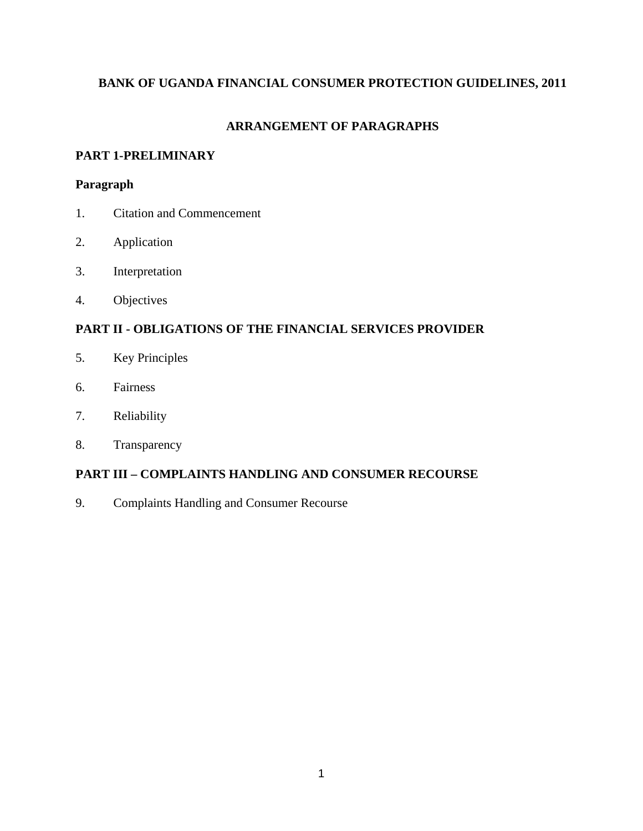# **BANK OF UGANDA FINANCIAL CONSUMER PROTECTION GUIDELINES, 2011**

# **ARRANGEMENT OF PARAGRAPHS**

# **PART 1-PRELIMINARY**

# **Paragraph**

- 1. Citation and Commencement
- 2. Application
- 3. Interpretation
- 4. Objectives

# **PART II - OBLIGATIONS OF THE FINANCIAL SERVICES PROVIDER**

- 5. Key Principles
- 6. Fairness
- 7. Reliability
- 8. Transparency

# **PART III – COMPLAINTS HANDLING AND CONSUMER RECOURSE**

9. Complaints Handling and Consumer Recourse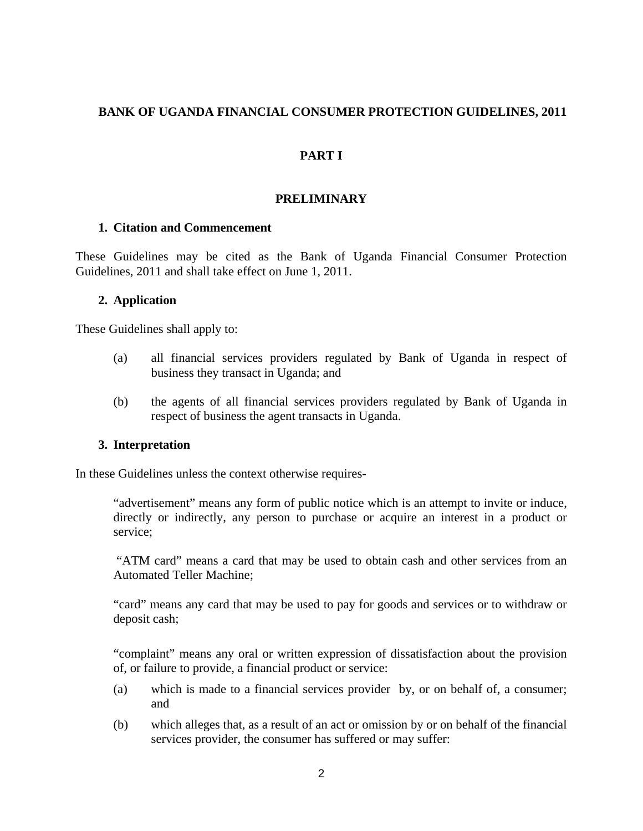### **BANK OF UGANDA FINANCIAL CONSUMER PROTECTION GUIDELINES, 2011**

# **PART I**

### **PRELIMINARY**

#### **1. Citation and Commencement**

These Guidelines may be cited as the Bank of Uganda Financial Consumer Protection Guidelines, 2011 and shall take effect on June 1, 2011.

#### **2. Application**

These Guidelines shall apply to:

- (a) all financial services providers regulated by Bank of Uganda in respect of business they transact in Uganda; and
- (b) the agents of all financial services providers regulated by Bank of Uganda in respect of business the agent transacts in Uganda.

#### **3. Interpretation**

In these Guidelines unless the context otherwise requires-

"advertisement" means any form of public notice which is an attempt to invite or induce, directly or indirectly, any person to purchase or acquire an interest in a product or service;

 "ATM card" means a card that may be used to obtain cash and other services from an Automated Teller Machine;

"card" means any card that may be used to pay for goods and services or to withdraw or deposit cash;

"complaint" means any oral or written expression of dissatisfaction about the provision of, or failure to provide, a financial product or service:

- (a) which is made to a financial services provider by, or on behalf of, a consumer; and
- (b) which alleges that, as a result of an act or omission by or on behalf of the financial services provider, the consumer has suffered or may suffer: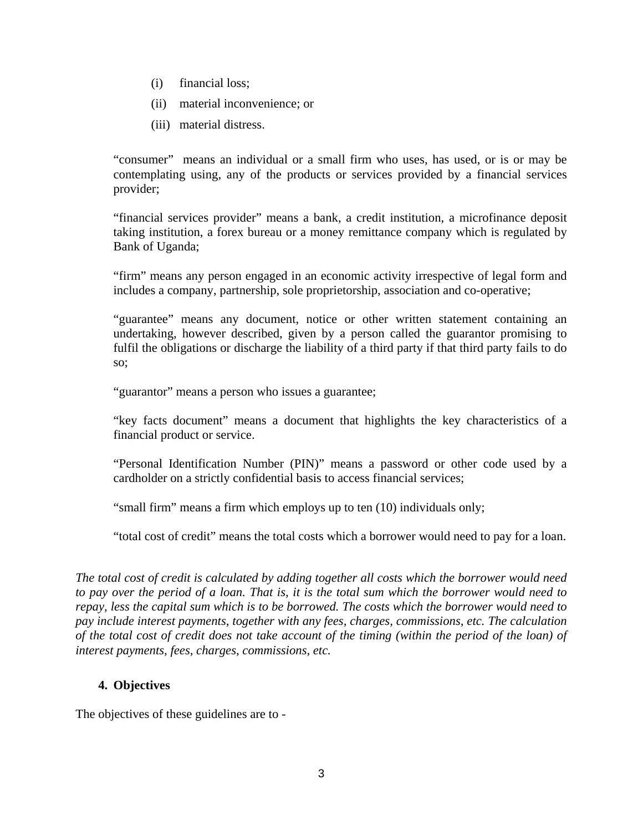- (i) financial loss;
- (ii) material inconvenience; or
- (iii) material distress.

"consumer" means an individual or a small firm who uses, has used, or is or may be contemplating using, any of the products or services provided by a financial services provider;

"financial services provider" means a bank, a credit institution, a microfinance deposit taking institution, a forex bureau or a money remittance company which is regulated by Bank of Uganda;

"firm" means any person engaged in an economic activity irrespective of legal form and includes a company, partnership, sole proprietorship, association and co-operative;

"guarantee" means any document, notice or other written statement containing an undertaking, however described, given by a person called the guarantor promising to fulfil the obligations or discharge the liability of a third party if that third party fails to do so;

"guarantor" means a person who issues a guarantee;

"key facts document" means a document that highlights the key characteristics of a financial product or service.

"Personal Identification Number (PIN)" means a password or other code used by a cardholder on a strictly confidential basis to access financial services;

"small firm" means a firm which employs up to ten (10) individuals only;

"total cost of credit" means the total costs which a borrower would need to pay for a loan.

*The total cost of credit is calculated by adding together all costs which the borrower would need to pay over the period of a loan. That is, it is the total sum which the borrower would need to repay, less the capital sum which is to be borrowed. The costs which the borrower would need to pay include interest payments, together with any fees, charges, commissions, etc. The calculation of the total cost of credit does not take account of the timing (within the period of the loan) of interest payments, fees, charges, commissions, etc.* 

# **4. Objectives**

The objectives of these guidelines are to -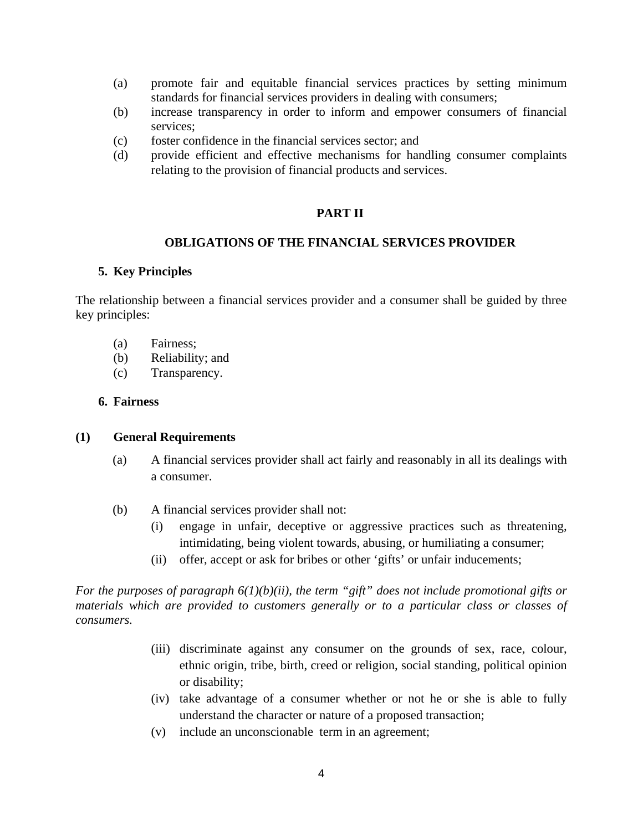- (a) promote fair and equitable financial services practices by setting minimum standards for financial services providers in dealing with consumers;
- (b) increase transparency in order to inform and empower consumers of financial services;
- (c) foster confidence in the financial services sector; and
- (d) provide efficient and effective mechanisms for handling consumer complaints relating to the provision of financial products and services.

#### **PART II**

### **OBLIGATIONS OF THE FINANCIAL SERVICES PROVIDER**

#### **5. Key Principles**

The relationship between a financial services provider and a consumer shall be guided by three key principles:

- (a) Fairness;
- (b) Reliability; and
- (c) Transparency.

#### **6. Fairness**

#### **(1) General Requirements**

- (a) A financial services provider shall act fairly and reasonably in all its dealings with a consumer.
- (b) A financial services provider shall not:
	- (i) engage in unfair, deceptive or aggressive practices such as threatening, intimidating, being violent towards, abusing, or humiliating a consumer;
	- (ii) offer, accept or ask for bribes or other 'gifts' or unfair inducements;

*For the purposes of paragraph 6(1)(b)(ii), the term "gift" does not include promotional gifts or materials which are provided to customers generally or to a particular class or classes of consumers.* 

- (iii) discriminate against any consumer on the grounds of sex, race, colour, ethnic origin, tribe, birth, creed or religion, social standing, political opinion or disability;
- (iv) take advantage of a consumer whether or not he or she is able to fully understand the character or nature of a proposed transaction;
- (v) include an unconscionable term in an agreement;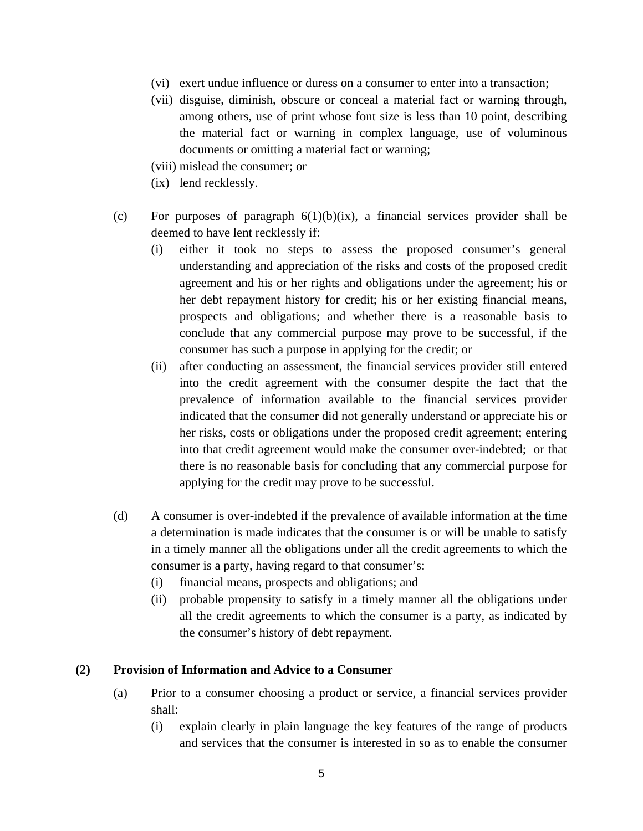- (vi) exert undue influence or duress on a consumer to enter into a transaction;
- (vii) disguise, diminish, obscure or conceal a material fact or warning through, among others, use of print whose font size is less than 10 point, describing the material fact or warning in complex language, use of voluminous documents or omitting a material fact or warning;
- (viii) mislead the consumer; or
- (ix) lend recklessly.
- (c) For purposes of paragraph  $6(1)(b)(ix)$ , a financial services provider shall be deemed to have lent recklessly if:
	- (i) either it took no steps to assess the proposed consumer's general understanding and appreciation of the risks and costs of the proposed credit agreement and his or her rights and obligations under the agreement; his or her debt repayment history for credit; his or her existing financial means, prospects and obligations; and whether there is a reasonable basis to conclude that any commercial purpose may prove to be successful, if the consumer has such a purpose in applying for the credit; or
	- (ii) after conducting an assessment, the financial services provider still entered into the credit agreement with the consumer despite the fact that the prevalence of information available to the financial services provider indicated that the consumer did not generally understand or appreciate his or her risks, costs or obligations under the proposed credit agreement; entering into that credit agreement would make the consumer over-indebted; or that there is no reasonable basis for concluding that any commercial purpose for applying for the credit may prove to be successful.
- (d) A consumer is over-indebted if the prevalence of available information at the time a determination is made indicates that the consumer is or will be unable to satisfy in a timely manner all the obligations under all the credit agreements to which the consumer is a party, having regard to that consumer's:
	- (i) financial means, prospects and obligations; and
	- (ii) probable propensity to satisfy in a timely manner all the obligations under all the credit agreements to which the consumer is a party, as indicated by the consumer's history of debt repayment.

### **(2) Provision of Information and Advice to a Consumer**

- (a) Prior to a consumer choosing a product or service, a financial services provider shall:
	- (i) explain clearly in plain language the key features of the range of products and services that the consumer is interested in so as to enable the consumer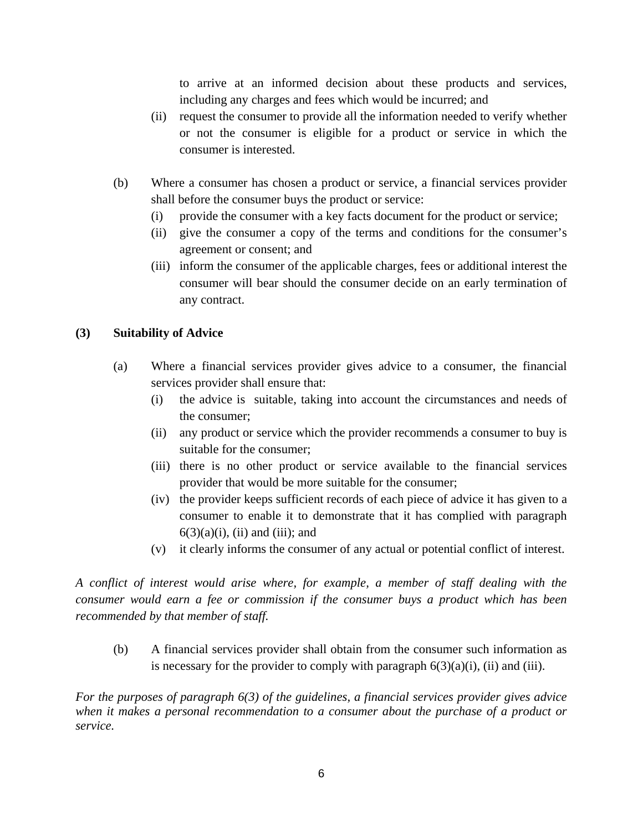to arrive at an informed decision about these products and services, including any charges and fees which would be incurred; and

- (ii) request the consumer to provide all the information needed to verify whether or not the consumer is eligible for a product or service in which the consumer is interested.
- (b) Where a consumer has chosen a product or service, a financial services provider shall before the consumer buys the product or service:
	- (i) provide the consumer with a key facts document for the product or service;
	- (ii) give the consumer a copy of the terms and conditions for the consumer's agreement or consent; and
	- (iii) inform the consumer of the applicable charges, fees or additional interest the consumer will bear should the consumer decide on an early termination of any contract.

# **(3) Suitability of Advice**

- (a) Where a financial services provider gives advice to a consumer, the financial services provider shall ensure that:
	- (i) the advice is suitable, taking into account the circumstances and needs of the consumer;
	- (ii) any product or service which the provider recommends a consumer to buy is suitable for the consumer;
	- (iii) there is no other product or service available to the financial services provider that would be more suitable for the consumer;
	- (iv) the provider keeps sufficient records of each piece of advice it has given to a consumer to enable it to demonstrate that it has complied with paragraph  $6(3)(a)(i)$ , (ii) and (iii); and
	- (v) it clearly informs the consumer of any actual or potential conflict of interest.

*A conflict of interest would arise where, for example, a member of staff dealing with the consumer would earn a fee or commission if the consumer buys a product which has been recommended by that member of staff.* 

(b) A financial services provider shall obtain from the consumer such information as is necessary for the provider to comply with paragraph  $6(3)(a)(i)$ , (ii) and (iii).

*For the purposes of paragraph 6(3) of the guidelines, a financial services provider gives advice when it makes a personal recommendation to a consumer about the purchase of a product or service.*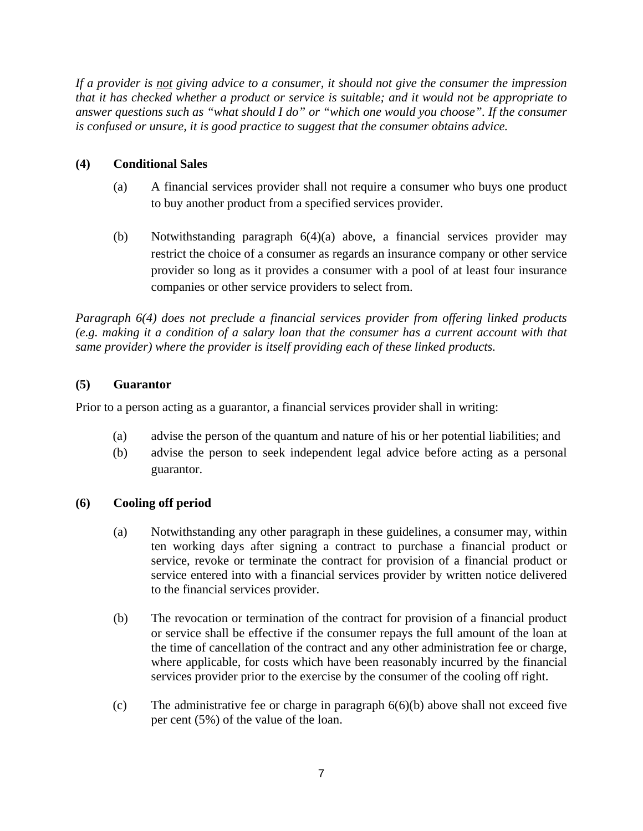*If a provider is not giving advice to a consumer, it should not give the consumer the impression that it has checked whether a product or service is suitable; and it would not be appropriate to answer questions such as "what should I do" or "which one would you choose". If the consumer is confused or unsure, it is good practice to suggest that the consumer obtains advice.* 

# **(4) Conditional Sales**

- (a) A financial services provider shall not require a consumer who buys one product to buy another product from a specified services provider.
- (b) Notwithstanding paragraph 6(4)(a) above, a financial services provider may restrict the choice of a consumer as regards an insurance company or other service provider so long as it provides a consumer with a pool of at least four insurance companies or other service providers to select from.

*Paragraph 6(4) does not preclude a financial services provider from offering linked products (e.g. making it a condition of a salary loan that the consumer has a current account with that same provider) where the provider is itself providing each of these linked products.* 

# **(5) Guarantor**

Prior to a person acting as a guarantor, a financial services provider shall in writing:

- (a) advise the person of the quantum and nature of his or her potential liabilities; and
- (b) advise the person to seek independent legal advice before acting as a personal guarantor.

# **(6) Cooling off period**

- (a) Notwithstanding any other paragraph in these guidelines, a consumer may, within ten working days after signing a contract to purchase a financial product or service, revoke or terminate the contract for provision of a financial product or service entered into with a financial services provider by written notice delivered to the financial services provider.
- (b) The revocation or termination of the contract for provision of a financial product or service shall be effective if the consumer repays the full amount of the loan at the time of cancellation of the contract and any other administration fee or charge, where applicable, for costs which have been reasonably incurred by the financial services provider prior to the exercise by the consumer of the cooling off right.
- (c) The administrative fee or charge in paragraph 6(6)(b) above shall not exceed five per cent (5%) of the value of the loan.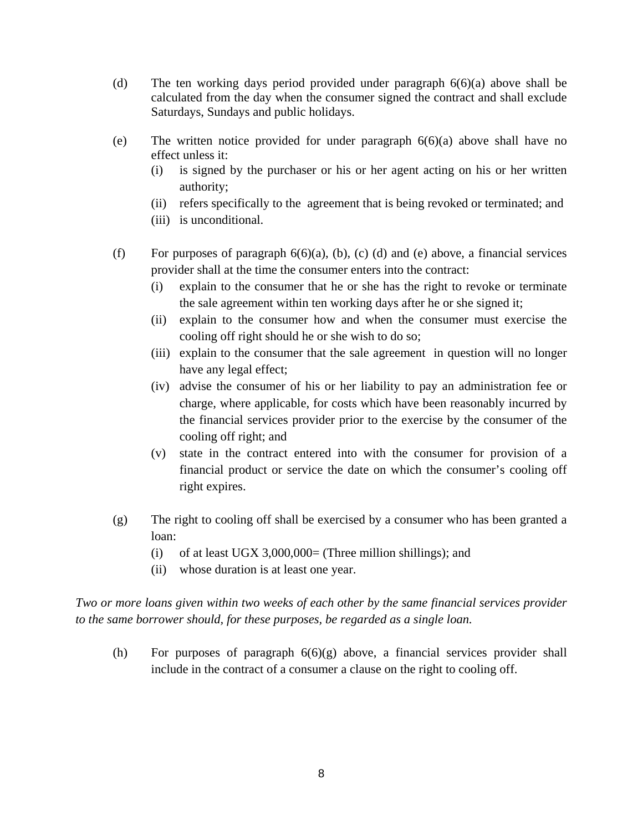- (d) The ten working days period provided under paragraph 6(6)(a) above shall be calculated from the day when the consumer signed the contract and shall exclude Saturdays, Sundays and public holidays.
- (e) The written notice provided for under paragraph 6(6)(a) above shall have no effect unless it:
	- (i) is signed by the purchaser or his or her agent acting on his or her written authority;
	- (ii) refers specifically to the agreement that is being revoked or terminated; and
	- (iii) is unconditional.
- (f) For purposes of paragraph  $6(6)(a)$ , (b), (c) (d) and (e) above, a financial services provider shall at the time the consumer enters into the contract:
	- (i) explain to the consumer that he or she has the right to revoke or terminate the sale agreement within ten working days after he or she signed it;
	- (ii) explain to the consumer how and when the consumer must exercise the cooling off right should he or she wish to do so;
	- (iii) explain to the consumer that the sale agreement in question will no longer have any legal effect;
	- (iv) advise the consumer of his or her liability to pay an administration fee or charge, where applicable, for costs which have been reasonably incurred by the financial services provider prior to the exercise by the consumer of the cooling off right; and
	- (v) state in the contract entered into with the consumer for provision of a financial product or service the date on which the consumer's cooling off right expires.
- (g) The right to cooling off shall be exercised by a consumer who has been granted a loan:
	- (i) of at least UGX 3,000,000= (Three million shillings); and
	- (ii) whose duration is at least one year.

*Two or more loans given within two weeks of each other by the same financial services provider to the same borrower should, for these purposes, be regarded as a single loan.* 

(h) For purposes of paragraph 6(6)(g) above, a financial services provider shall include in the contract of a consumer a clause on the right to cooling off.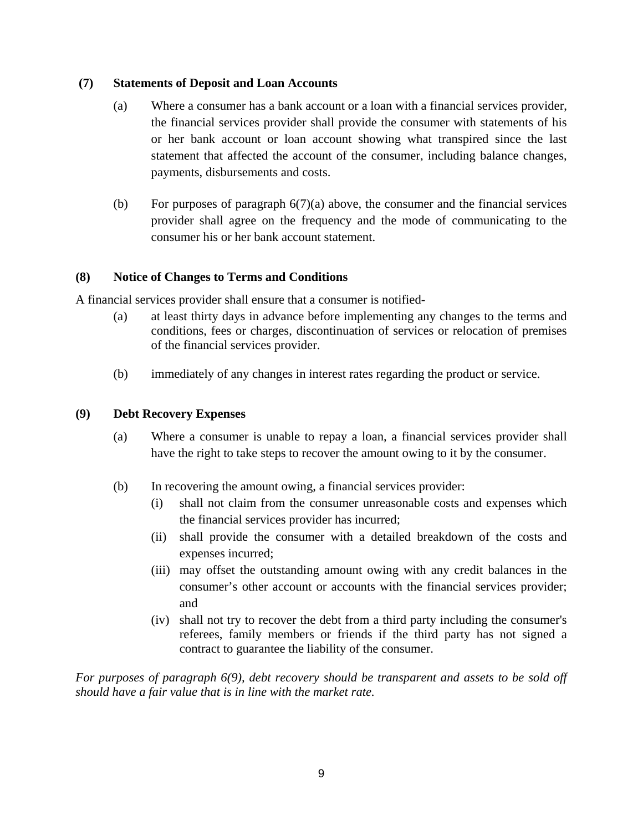### **(7) Statements of Deposit and Loan Accounts**

- (a) Where a consumer has a bank account or a loan with a financial services provider, the financial services provider shall provide the consumer with statements of his or her bank account or loan account showing what transpired since the last statement that affected the account of the consumer, including balance changes, payments, disbursements and costs.
- (b) For purposes of paragraph  $6(7)(a)$  above, the consumer and the financial services provider shall agree on the frequency and the mode of communicating to the consumer his or her bank account statement.

# **(8) Notice of Changes to Terms and Conditions**

A financial services provider shall ensure that a consumer is notified-

- (a) at least thirty days in advance before implementing any changes to the terms and conditions, fees or charges, discontinuation of services or relocation of premises of the financial services provider.
- (b) immediately of any changes in interest rates regarding the product or service.

### **(9) Debt Recovery Expenses**

- (a) Where a consumer is unable to repay a loan, a financial services provider shall have the right to take steps to recover the amount owing to it by the consumer.
- (b) In recovering the amount owing, a financial services provider:
	- (i) shall not claim from the consumer unreasonable costs and expenses which the financial services provider has incurred;
	- (ii) shall provide the consumer with a detailed breakdown of the costs and expenses incurred;
	- (iii) may offset the outstanding amount owing with any credit balances in the consumer's other account or accounts with the financial services provider; and
	- (iv) shall not try to recover the debt from a third party including the consumer's referees, family members or friends if the third party has not signed a contract to guarantee the liability of the consumer.

*For purposes of paragraph 6(9), debt recovery should be transparent and assets to be sold off should have a fair value that is in line with the market rate.*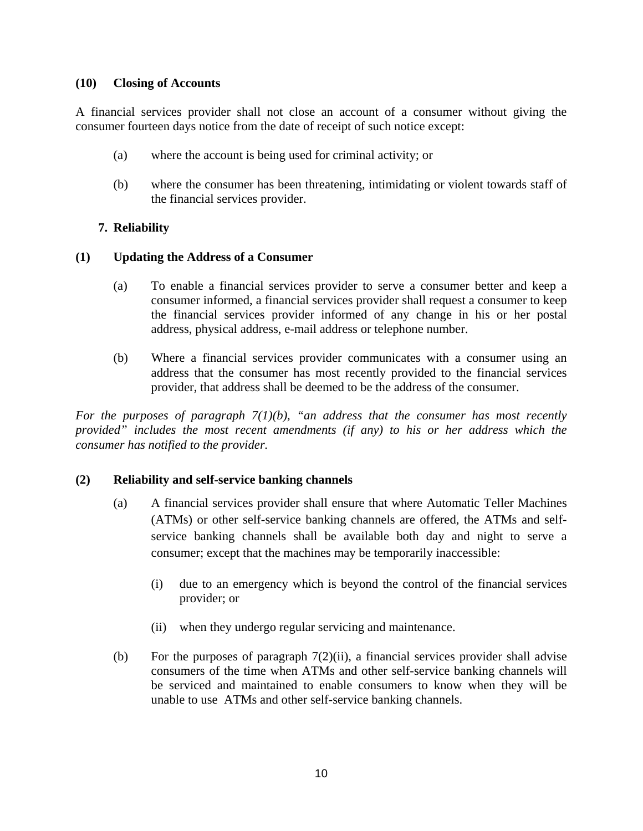### **(10) Closing of Accounts**

A financial services provider shall not close an account of a consumer without giving the consumer fourteen days notice from the date of receipt of such notice except:

- (a) where the account is being used for criminal activity; or
- (b) where the consumer has been threatening, intimidating or violent towards staff of the financial services provider.

# **7. Reliability**

## **(1) Updating the Address of a Consumer**

- (a) To enable a financial services provider to serve a consumer better and keep a consumer informed, a financial services provider shall request a consumer to keep the financial services provider informed of any change in his or her postal address, physical address, e-mail address or telephone number.
- (b) Where a financial services provider communicates with a consumer using an address that the consumer has most recently provided to the financial services provider, that address shall be deemed to be the address of the consumer.

*For the purposes of paragraph 7(1)(b), "an address that the consumer has most recently provided" includes the most recent amendments (if any) to his or her address which the consumer has notified to the provider.* 

# **(2) Reliability and self-service banking channels**

- (a) A financial services provider shall ensure that where Automatic Teller Machines (ATMs) or other self-service banking channels are offered, the ATMs and selfservice banking channels shall be available both day and night to serve a consumer; except that the machines may be temporarily inaccessible:
	- (i) due to an emergency which is beyond the control of the financial services provider; or
	- (ii) when they undergo regular servicing and maintenance.
- (b) For the purposes of paragraph  $7(2)(ii)$ , a financial services provider shall advise consumers of the time when ATMs and other self-service banking channels will be serviced and maintained to enable consumers to know when they will be unable to use ATMs and other self-service banking channels.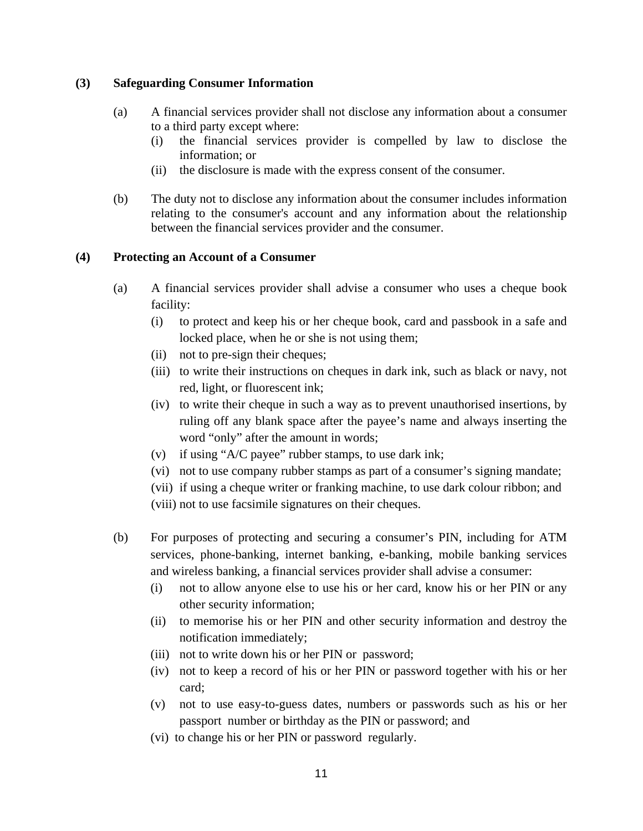## **(3) Safeguarding Consumer Information**

- (a) A financial services provider shall not disclose any information about a consumer to a third party except where:
	- (i) the financial services provider is compelled by law to disclose the information; or
	- (ii) the disclosure is made with the express consent of the consumer.
- (b) The duty not to disclose any information about the consumer includes information relating to the consumer's account and any information about the relationship between the financial services provider and the consumer.

## **(4) Protecting an Account of a Consumer**

- (a) A financial services provider shall advise a consumer who uses a cheque book facility:
	- (i) to protect and keep his or her cheque book, card and passbook in a safe and locked place, when he or she is not using them;
	- (ii) not to pre-sign their cheques;
	- (iii) to write their instructions on cheques in dark ink, such as black or navy, not red, light, or fluorescent ink;
	- (iv) to write their cheque in such a way as to prevent unauthorised insertions, by ruling off any blank space after the payee's name and always inserting the word "only" after the amount in words;
	- (v) if using "A/C payee" rubber stamps, to use dark ink;
	- (vi) not to use company rubber stamps as part of a consumer's signing mandate;
	- (vii) if using a cheque writer or franking machine, to use dark colour ribbon; and
	- (viii) not to use facsimile signatures on their cheques.
- (b) For purposes of protecting and securing a consumer's PIN, including for ATM services, phone-banking, internet banking, e-banking, mobile banking services and wireless banking, a financial services provider shall advise a consumer:
	- (i) not to allow anyone else to use his or her card, know his or her PIN or any other security information;
	- (ii) to memorise his or her PIN and other security information and destroy the notification immediately;
	- (iii) not to write down his or her PIN or password;
	- (iv) not to keep a record of his or her PIN or password together with his or her card;
	- (v) not to use easy-to-guess dates, numbers or passwords such as his or her passport number or birthday as the PIN or password; and
	- (vi) to change his or her PIN or password regularly.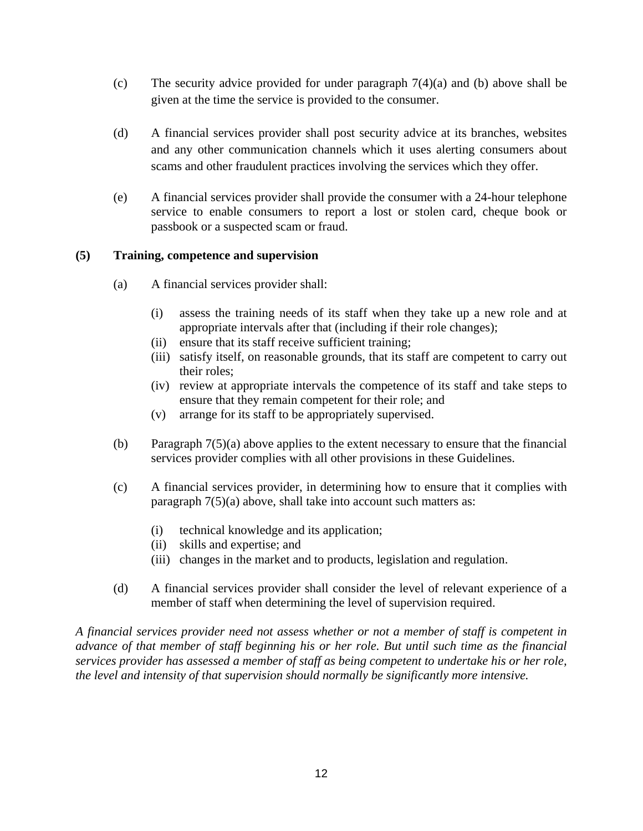- (c) The security advice provided for under paragraph 7(4)(a) and (b) above shall be given at the time the service is provided to the consumer.
- (d) A financial services provider shall post security advice at its branches, websites and any other communication channels which it uses alerting consumers about scams and other fraudulent practices involving the services which they offer.
- (e) A financial services provider shall provide the consumer with a 24-hour telephone service to enable consumers to report a lost or stolen card, cheque book or passbook or a suspected scam or fraud.

## **(5) Training, competence and supervision**

- (a) A financial services provider shall:
	- (i) assess the training needs of its staff when they take up a new role and at appropriate intervals after that (including if their role changes);
	- (ii) ensure that its staff receive sufficient training;
	- (iii) satisfy itself, on reasonable grounds, that its staff are competent to carry out their roles;
	- (iv) review at appropriate intervals the competence of its staff and take steps to ensure that they remain competent for their role; and
	- (v) arrange for its staff to be appropriately supervised.
- (b) Paragraph 7(5)(a) above applies to the extent necessary to ensure that the financial services provider complies with all other provisions in these Guidelines.
- (c) A financial services provider, in determining how to ensure that it complies with paragraph 7(5)(a) above, shall take into account such matters as:
	- (i) technical knowledge and its application;
	- (ii) skills and expertise; and
	- (iii) changes in the market and to products, legislation and regulation.
- (d) A financial services provider shall consider the level of relevant experience of a member of staff when determining the level of supervision required.

*A financial services provider need not assess whether or not a member of staff is competent in advance of that member of staff beginning his or her role. But until such time as the financial services provider has assessed a member of staff as being competent to undertake his or her role, the level and intensity of that supervision should normally be significantly more intensive.*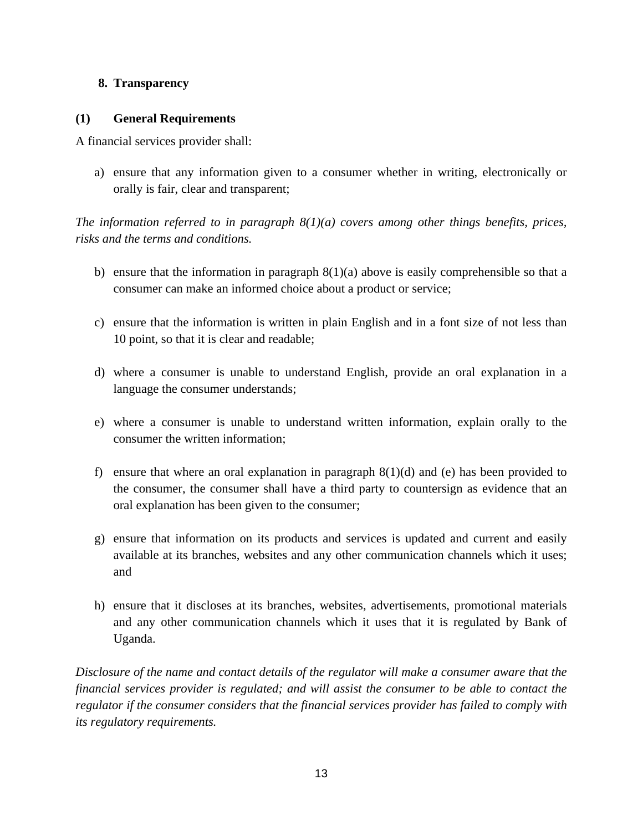# **8. Transparency**

# **(1) General Requirements**

A financial services provider shall:

a) ensure that any information given to a consumer whether in writing, electronically or orally is fair, clear and transparent;

*The information referred to in paragraph 8(1)(a) covers among other things benefits, prices, risks and the terms and conditions.* 

- b) ensure that the information in paragraph  $8(1)(a)$  above is easily comprehensible so that a consumer can make an informed choice about a product or service;
- c) ensure that the information is written in plain English and in a font size of not less than 10 point, so that it is clear and readable;
- d) where a consumer is unable to understand English, provide an oral explanation in a language the consumer understands;
- e) where a consumer is unable to understand written information, explain orally to the consumer the written information;
- f) ensure that where an oral explanation in paragraph  $8(1)(d)$  and (e) has been provided to the consumer, the consumer shall have a third party to countersign as evidence that an oral explanation has been given to the consumer;
- g) ensure that information on its products and services is updated and current and easily available at its branches, websites and any other communication channels which it uses; and
- h) ensure that it discloses at its branches, websites, advertisements, promotional materials and any other communication channels which it uses that it is regulated by Bank of Uganda.

*Disclosure of the name and contact details of the regulator will make a consumer aware that the financial services provider is regulated; and will assist the consumer to be able to contact the regulator if the consumer considers that the financial services provider has failed to comply with its regulatory requirements.*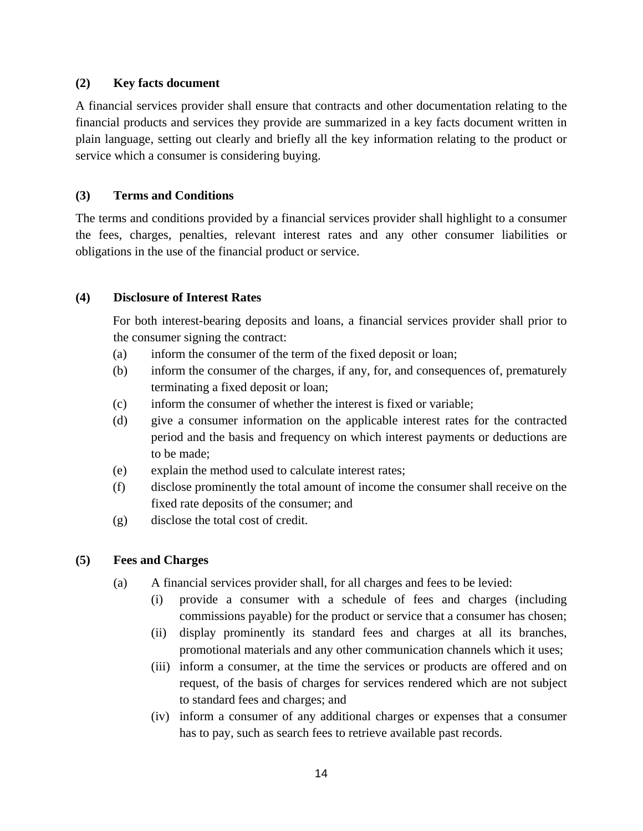## **(2) Key facts document**

A financial services provider shall ensure that contracts and other documentation relating to the financial products and services they provide are summarized in a key facts document written in plain language, setting out clearly and briefly all the key information relating to the product or service which a consumer is considering buying.

# **(3) Terms and Conditions**

The terms and conditions provided by a financial services provider shall highlight to a consumer the fees, charges, penalties, relevant interest rates and any other consumer liabilities or obligations in the use of the financial product or service.

## **(4) Disclosure of Interest Rates**

For both interest-bearing deposits and loans, a financial services provider shall prior to the consumer signing the contract:

- (a) inform the consumer of the term of the fixed deposit or loan;
- (b) inform the consumer of the charges, if any, for, and consequences of, prematurely terminating a fixed deposit or loan;
- (c) inform the consumer of whether the interest is fixed or variable;
- (d) give a consumer information on the applicable interest rates for the contracted period and the basis and frequency on which interest payments or deductions are to be made;
- (e) explain the method used to calculate interest rates;
- (f) disclose prominently the total amount of income the consumer shall receive on the fixed rate deposits of the consumer; and
- (g) disclose the total cost of credit.

# **(5) Fees and Charges**

- (a) A financial services provider shall, for all charges and fees to be levied:
	- (i) provide a consumer with a schedule of fees and charges (including commissions payable) for the product or service that a consumer has chosen;
	- (ii) display prominently its standard fees and charges at all its branches, promotional materials and any other communication channels which it uses;
	- (iii) inform a consumer, at the time the services or products are offered and on request, of the basis of charges for services rendered which are not subject to standard fees and charges; and
	- (iv) inform a consumer of any additional charges or expenses that a consumer has to pay, such as search fees to retrieve available past records.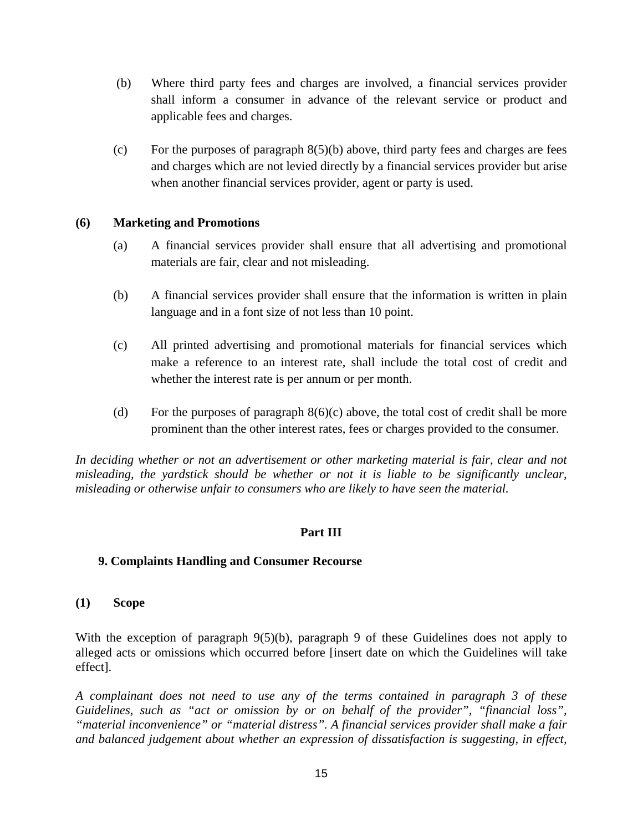- (b) Where third party fees and charges are involved, a financial services provider shall inform a consumer in advance of the relevant service or product and applicable fees and charges.
- (c) For the purposes of paragraph  $8(5)(b)$  above, third party fees and charges are fees and charges which are not levied directly by a financial services provider but arise when another financial services provider, agent or party is used.

### **(6) Marketing and Promotions**

- (a) A financial services provider shall ensure that all advertising and promotional materials are fair, clear and not misleading.
- (b) A financial services provider shall ensure that the information is written in plain language and in a font size of not less than 10 point.
- (c) All printed advertising and promotional materials for financial services which make a reference to an interest rate, shall include the total cost of credit and whether the interest rate is per annum or per month.
- (d) For the purposes of paragraph  $8(6)(c)$  above, the total cost of credit shall be more prominent than the other interest rates, fees or charges provided to the consumer.

*In deciding whether or not an advertisement or other marketing material is fair, clear and not misleading, the yardstick should be whether or not it is liable to be significantly unclear, misleading or otherwise unfair to consumers who are likely to have seen the material.* 

### **Part III**

#### **9. Complaints Handling and Consumer Recourse**

#### **(1) Scope**

With the exception of paragraph 9(5)(b), paragraph 9 of these Guidelines does not apply to alleged acts or omissions which occurred before [insert date on which the Guidelines will take effect].

*A complainant does not need to use any of the terms contained in paragraph 3 of these Guidelines, such as "act or omission by or on behalf of the provider", "financial loss", "material inconvenience" or "material distress". A financial services provider shall make a fair and balanced judgement about whether an expression of dissatisfaction is suggesting, in effect,*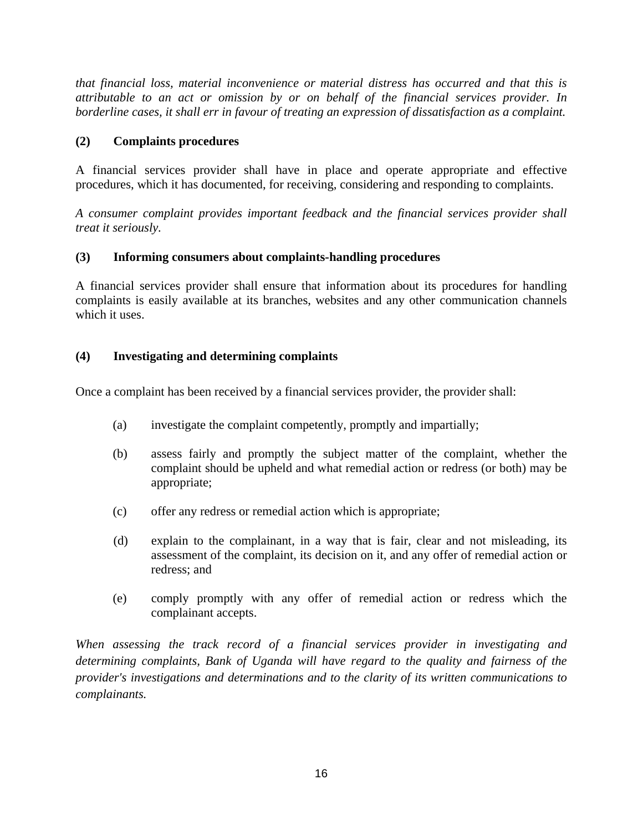*that financial loss, material inconvenience or material distress has occurred and that this is attributable to an act or omission by or on behalf of the financial services provider. In borderline cases, it shall err in favour of treating an expression of dissatisfaction as a complaint.* 

# **(2) Complaints procedures**

A financial services provider shall have in place and operate appropriate and effective procedures, which it has documented, for receiving, considering and responding to complaints.

*A consumer complaint provides important feedback and the financial services provider shall treat it seriously.* 

# **(3) Informing consumers about complaints-handling procedures**

A financial services provider shall ensure that information about its procedures for handling complaints is easily available at its branches, websites and any other communication channels which it uses.

# **(4) Investigating and determining complaints**

Once a complaint has been received by a financial services provider, the provider shall:

- (a) investigate the complaint competently, promptly and impartially;
- (b) assess fairly and promptly the subject matter of the complaint, whether the complaint should be upheld and what remedial action or redress (or both) may be appropriate;
- (c) offer any redress or remedial action which is appropriate;
- (d) explain to the complainant, in a way that is fair, clear and not misleading, its assessment of the complaint, its decision on it, and any offer of remedial action or redress; and
- (e) comply promptly with any offer of remedial action or redress which the complainant accepts.

*When assessing the track record of a financial services provider in investigating and determining complaints, Bank of Uganda will have regard to the quality and fairness of the provider's investigations and determinations and to the clarity of its written communications to complainants.*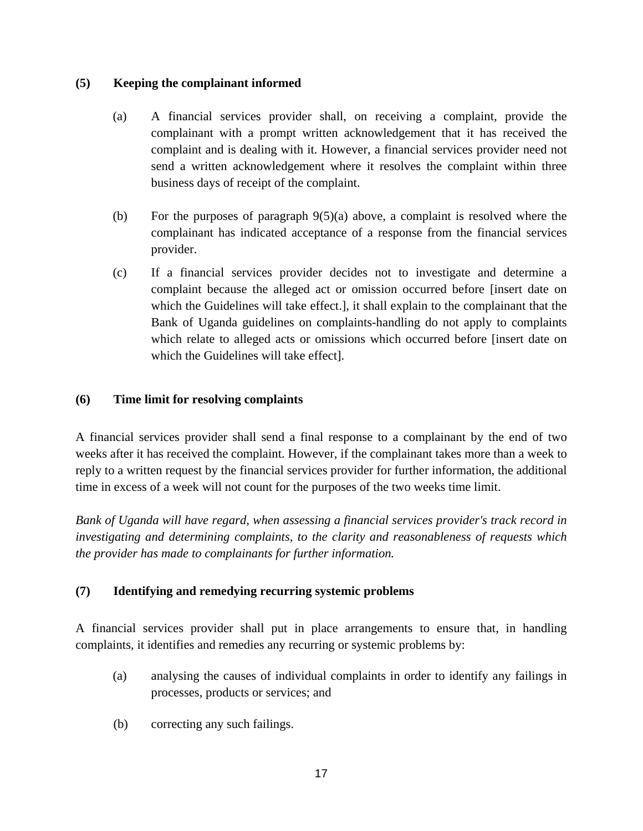## **(5) Keeping the complainant informed**

- (a) A financial services provider shall, on receiving a complaint, provide the complainant with a prompt written acknowledgement that it has received the complaint and is dealing with it. However, a financial services provider need not send a written acknowledgement where it resolves the complaint within three business days of receipt of the complaint.
- (b) For the purposes of paragraph 9(5)(a) above, a complaint is resolved where the complainant has indicated acceptance of a response from the financial services provider.
- (c) If a financial services provider decides not to investigate and determine a complaint because the alleged act or omission occurred before [insert date on which the Guidelines will take effect.], it shall explain to the complainant that the Bank of Uganda guidelines on complaints-handling do not apply to complaints which relate to alleged acts or omissions which occurred before [insert date on which the Guidelines will take effect].

## **(6) Time limit for resolving complaints**

A financial services provider shall send a final response to a complainant by the end of two weeks after it has received the complaint. However, if the complainant takes more than a week to reply to a written request by the financial services provider for further information, the additional time in excess of a week will not count for the purposes of the two weeks time limit.

*Bank of Uganda will have regard, when assessing a financial services provider's track record in investigating and determining complaints, to the clarity and reasonableness of requests which the provider has made to complainants for further information.* 

# **(7) Identifying and remedying recurring systemic problems**

A financial services provider shall put in place arrangements to ensure that, in handling complaints, it identifies and remedies any recurring or systemic problems by:

- (a) analysing the causes of individual complaints in order to identify any failings in processes, products or services; and
- (b) correcting any such failings.